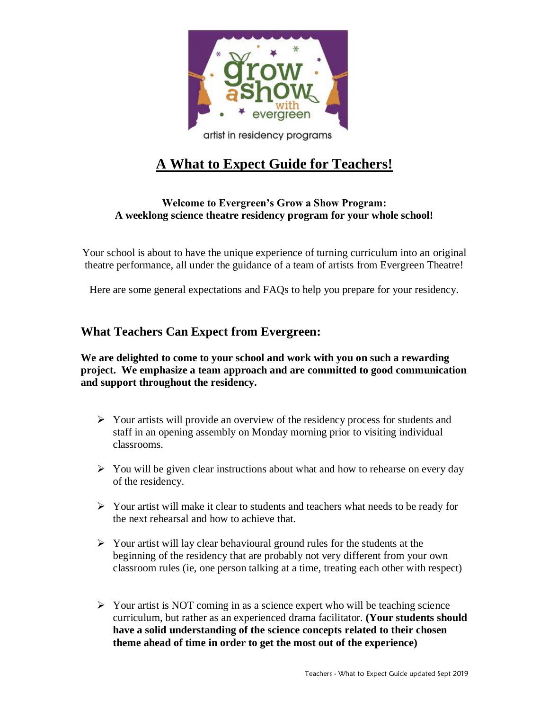

## artist in residency programs

# **A What to Expect Guide for Teachers!**

#### **Welcome to Evergreen's Grow a Show Program: A weeklong science theatre residency program for your whole school!**

Your school is about to have the unique experience of turning curriculum into an original theatre performance, all under the guidance of a team of artists from Evergreen Theatre!

Here are some general expectations and FAQs to help you prepare for your residency.

## **What Teachers Can Expect from Evergreen:**

**We are delighted to come to your school and work with you on such a rewarding project. We emphasize a team approach and are committed to good communication and support throughout the residency.**

- ➢ Your artists will provide an overview of the residency process for students and staff in an opening assembly on Monday morning prior to visiting individual classrooms.
- $\triangleright$  You will be given clear instructions about what and how to rehearse on every day of the residency.
- $\triangleright$  Your artist will make it clear to students and teachers what needs to be ready for the next rehearsal and how to achieve that.
- ➢ Your artist will lay clear behavioural ground rules for the students at the beginning of the residency that are probably not very different from your own classroom rules (ie, one person talking at a time, treating each other with respect)
- $\triangleright$  Your artist is NOT coming in as a science expert who will be teaching science curriculum, but rather as an experienced drama facilitator. **(Your students should have a solid understanding of the science concepts related to their chosen theme ahead of time in order to get the most out of the experience)**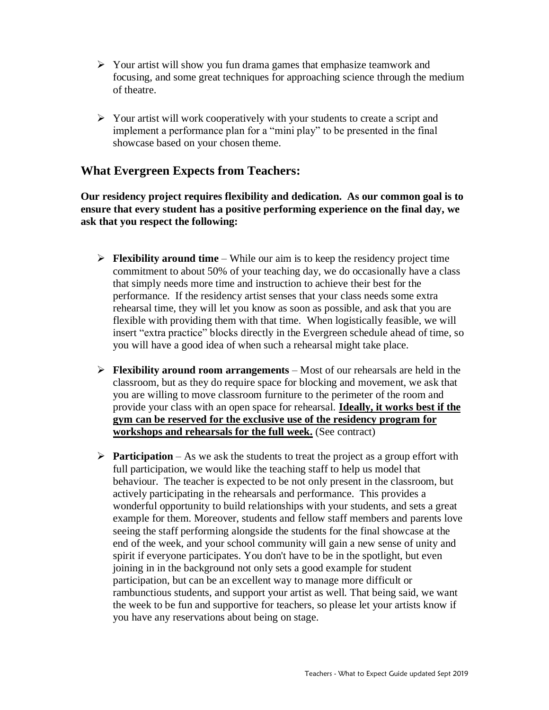- ➢ Your artist will show you fun drama games that emphasize teamwork and focusing, and some great techniques for approaching science through the medium of theatre.
- ➢ Your artist will work cooperatively with your students to create a script and implement a performance plan for a "mini play" to be presented in the final showcase based on your chosen theme.

## **What Evergreen Expects from Teachers:**

**Our residency project requires flexibility and dedication. As our common goal is to ensure that every student has a positive performing experience on the final day, we ask that you respect the following:**

- ➢ **Flexibility around time** While our aim is to keep the residency project time commitment to about 50% of your teaching day, we do occasionally have a class that simply needs more time and instruction to achieve their best for the performance. If the residency artist senses that your class needs some extra rehearsal time, they will let you know as soon as possible, and ask that you are flexible with providing them with that time. When logistically feasible, we will insert "extra practice" blocks directly in the Evergreen schedule ahead of time, so you will have a good idea of when such a rehearsal might take place.
- ➢ **Flexibility around room arrangements** Most of our rehearsals are held in the classroom, but as they do require space for blocking and movement, we ask that you are willing to move classroom furniture to the perimeter of the room and provide your class with an open space for rehearsal. **Ideally, it works best if the gym can be reserved for the exclusive use of the residency program for workshops and rehearsals for the full week.** (See contract)
- ➢ **Participation** As we ask the students to treat the project as a group effort with full participation, we would like the teaching staff to help us model that behaviour. The teacher is expected to be not only present in the classroom, but actively participating in the rehearsals and performance. This provides a wonderful opportunity to build relationships with your students, and sets a great example for them. Moreover, students and fellow staff members and parents love seeing the staff performing alongside the students for the final showcase at the end of the week, and your school community will gain a new sense of unity and spirit if everyone participates. You don't have to be in the spotlight, but even joining in in the background not only sets a good example for student participation, but can be an excellent way to manage more difficult or rambunctious students, and support your artist as well. That being said, we want the week to be fun and supportive for teachers, so please let your artists know if you have any reservations about being on stage.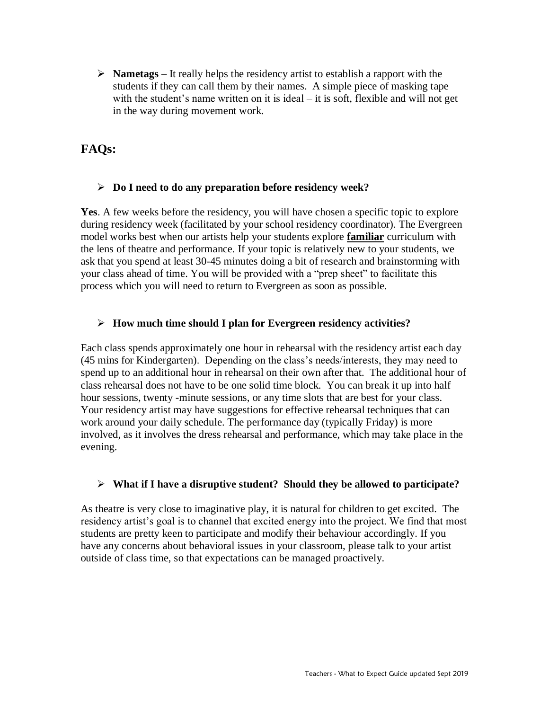➢ **Nametags** – It really helps the residency artist to establish a rapport with the students if they can call them by their names. A simple piece of masking tape with the student's name written on it is ideal – it is soft, flexible and will not get in the way during movement work.

## **FAQs:**

#### ➢ **Do I need to do any preparation before residency week?**

**Yes**. A few weeks before the residency, you will have chosen a specific topic to explore during residency week (facilitated by your school residency coordinator). The Evergreen model works best when our artists help your students explore **familiar** curriculum with the lens of theatre and performance. If your topic is relatively new to your students, we ask that you spend at least 30-45 minutes doing a bit of research and brainstorming with your class ahead of time. You will be provided with a "prep sheet" to facilitate this process which you will need to return to Evergreen as soon as possible.

#### ➢ **How much time should I plan for Evergreen residency activities?**

Each class spends approximately one hour in rehearsal with the residency artist each day (45 mins for Kindergarten). Depending on the class's needs/interests, they may need to spend up to an additional hour in rehearsal on their own after that. The additional hour of class rehearsal does not have to be one solid time block. You can break it up into half hour sessions, twenty -minute sessions, or any time slots that are best for your class. Your residency artist may have suggestions for effective rehearsal techniques that can work around your daily schedule. The performance day (typically Friday) is more involved, as it involves the dress rehearsal and performance, which may take place in the evening.

#### ➢ **What if I have a disruptive student? Should they be allowed to participate?**

As theatre is very close to imaginative play, it is natural for children to get excited. The residency artist's goal is to channel that excited energy into the project. We find that most students are pretty keen to participate and modify their behaviour accordingly. If you have any concerns about behavioral issues in your classroom, please talk to your artist outside of class time, so that expectations can be managed proactively.